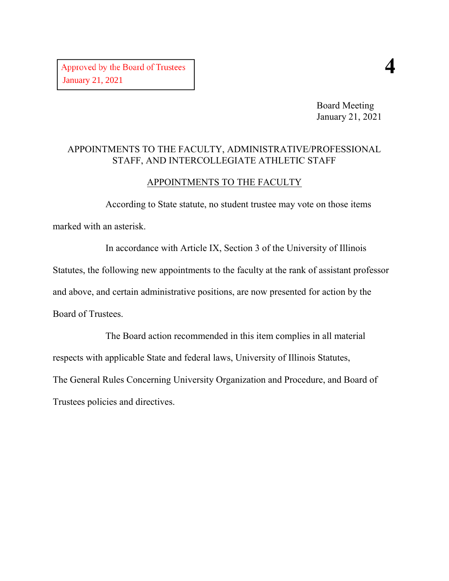Board Meeting January 21, 2021

#### APPOINTMENTS TO THE FACULTY, ADMINISTRATIVE/PROFESSIONAL STAFF, AND INTERCOLLEGIATE ATHLETIC STAFF

#### APPOINTMENTS TO THE FACULTY

According to State statute, no student trustee may vote on those items marked with an asterisk.

In accordance with Article IX, Section 3 of the University of Illinois Statutes, the following new appointments to the faculty at the rank of assistant professor and above, and certain administrative positions, are now presented for action by the Board of Trustees.

The Board action recommended in this item complies in all material respects with applicable State and federal laws, University of Illinois Statutes, The General Rules Concerning University Organization and Procedure, and Board of Trustees policies and directives.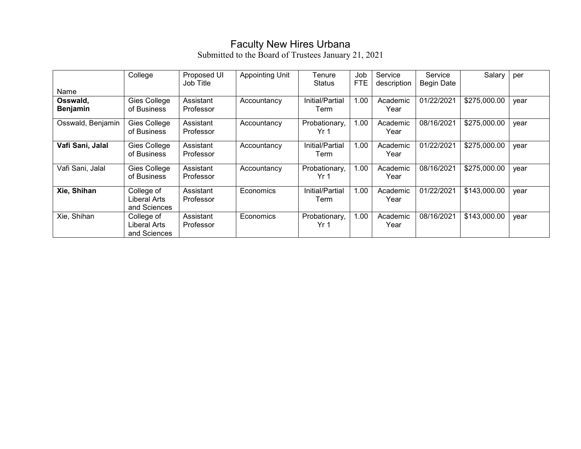## Faculty New Hires Urbana

|                   | College             | Proposed UI<br>Job Title | <b>Appointing Unit</b> | Tenure<br><b>Status</b> | Job<br><b>FTE</b> | Service<br>description | Service<br><b>Begin Date</b> | Salary       | per  |
|-------------------|---------------------|--------------------------|------------------------|-------------------------|-------------------|------------------------|------------------------------|--------------|------|
| Name              |                     |                          |                        |                         |                   |                        |                              |              |      |
| Osswald,          | Gies College        | Assistant                | Accountancy            | Initial/Partial         | 1.00              | Academic               | 01/22/2021                   | \$275,000.00 | vear |
| <b>Benjamin</b>   | of Business         | Professor                |                        | Term                    |                   | Year                   |                              |              |      |
| Osswald, Benjamin | Gies College        | Assistant                | Accountancy            | Probationary,           | 1.00              | Academic               | 08/16/2021                   | \$275,000.00 | vear |
|                   | of Business         | Professor                |                        | Yr 1                    |                   | Year                   |                              |              |      |
| Vafi Sani, Jalal  | Gies College        | Assistant                | Accountancy            | Initial/Partial         | 1.00              | Academic               | 01/22/2021                   | \$275,000.00 | vear |
|                   | of Business         | Professor                |                        | Term                    |                   | Year                   |                              |              |      |
| Vafi Sani, Jalal  | Gies College        | Assistant                | Accountancy            | Probationary,           | 1.00              | Academic               | 08/16/2021                   | \$275,000.00 | vear |
|                   | of Business         | Professor                |                        | Yr 1                    |                   | Year                   |                              |              |      |
| Xie, Shihan       | College of          | Assistant                | Economics              | Initial/Partial         | 1.00              | Academic               | 01/22/2021                   | \$143,000.00 | year |
|                   | <b>Liberal Arts</b> | Professor                |                        | Term                    |                   | Year                   |                              |              |      |
|                   | and Sciences        |                          |                        |                         |                   |                        |                              |              |      |
| Xie, Shihan       | College of          | Assistant                | Economics              | Probationary,           | 1.00              | Academic               | 08/16/2021                   | \$143,000.00 | vear |
|                   | Liberal Arts        | Professor                |                        | Yr 1                    |                   | Year                   |                              |              |      |
|                   | and Sciences        |                          |                        |                         |                   |                        |                              |              |      |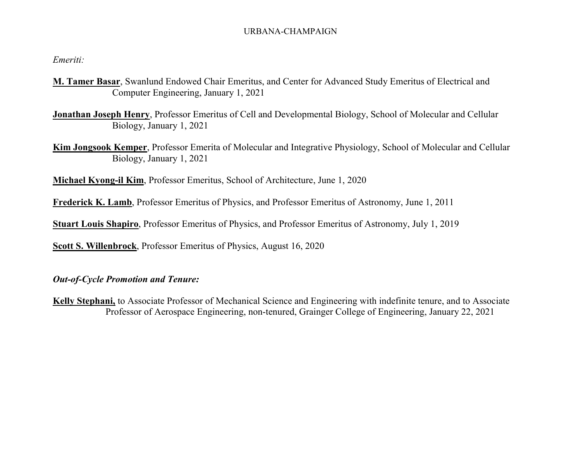#### URBANA-CHAMPAIGN

*Emeriti:*

- **M. Tamer Basar**, Swanlund Endowed Chair Emeritus, and Center for Advanced Study Emeritus of Electrical and Computer Engineering, January 1, 2021
- **Jonathan Joseph Henry**, Professor Emeritus of Cell and Developmental Biology, School of Molecular and Cellular Biology, January 1, 2021
- **Kim Jongsook Kemper**, Professor Emerita of Molecular and Integrative Physiology, School of Molecular and Cellular Biology, January 1, 2021

**Michael Kyong-il Kim**, Professor Emeritus, School of Architecture, June 1, 2020

**Frederick K. Lamb**, Professor Emeritus of Physics, and Professor Emeritus of Astronomy, June 1, 2011

**Stuart Louis Shapiro**, Professor Emeritus of Physics, and Professor Emeritus of Astronomy, July 1, 2019

**Scott S. Willenbrock**, Professor Emeritus of Physics, August 16, 2020

*Out-of-Cycle Promotion and Tenure:*

**Kelly Stephani,** to Associate Professor of Mechanical Science and Engineering with indefinite tenure, and to Associate Professor of Aerospace Engineering, non-tenured, Grainger College of Engineering, January 22, 2021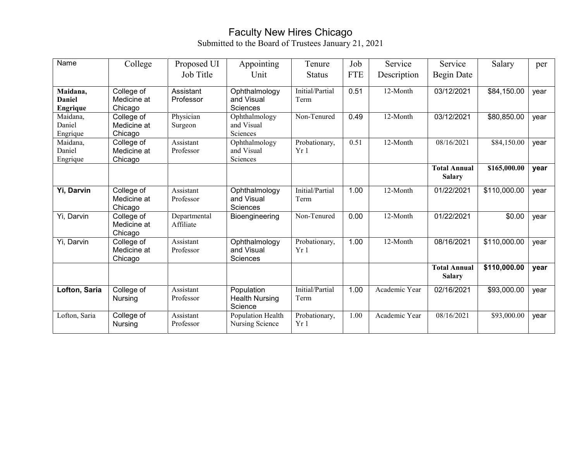## Faculty New Hires Chicago

| Name                                  | College                              | Proposed UI               | Appointing                                     | Tenure                  | Job        | Service       | Service                              | Salary       | per  |
|---------------------------------------|--------------------------------------|---------------------------|------------------------------------------------|-------------------------|------------|---------------|--------------------------------------|--------------|------|
|                                       |                                      | Job Title                 | Unit                                           | <b>Status</b>           | <b>FTE</b> | Description   | Begin Date                           |              |      |
| Maidana,<br><b>Daniel</b><br>Engrique | College of<br>Medicine at<br>Chicago | Assistant<br>Professor    | Ophthalmology<br>and Visual<br>Sciences        | Initial/Partial<br>Term | 0.51       | 12-Month      | 03/12/2021                           | \$84,150.00  | vear |
| Maidana,<br>Daniel<br>Engrique        | College of<br>Medicine at<br>Chicago | Physician<br>Surgeon      | Ophthalmology<br>and Visual<br>Sciences        | Non-Tenured             | 0.49       | 12-Month      | 03/12/2021                           | \$80,850.00  | year |
| Maidana,<br>Daniel<br>Engrique        | College of<br>Medicine at<br>Chicago | Assistant<br>Professor    | Ophthalmology<br>and Visual<br>Sciences        | Probationary,<br>Yr1    | 0.51       | 12-Month      | 08/16/2021                           | \$84,150.00  | year |
|                                       |                                      |                           |                                                |                         |            |               | <b>Total Annual</b><br><b>Salary</b> | \$165,000.00 | year |
| Yi, Darvin                            | College of<br>Medicine at<br>Chicago | Assistant<br>Professor    | Ophthalmology<br>and Visual<br>Sciences        | Initial/Partial<br>Term | 1.00       | 12-Month      | 01/22/2021                           | \$110,000.00 | year |
| Yi, Darvin                            | College of<br>Medicine at<br>Chicago | Departmental<br>Affiliate | Bioengineering                                 | Non-Tenured             | 0.00       | $12$ -Month   | 01/22/2021                           | \$0.00       | year |
| Yi, Darvin                            | College of<br>Medicine at<br>Chicago | Assistant<br>Professor    | Ophthalmology<br>and Visual<br>Sciences        | Probationary,<br>Yr1    | 1.00       | 12-Month      | 08/16/2021                           | \$110,000.00 | year |
|                                       |                                      |                           |                                                |                         |            |               | <b>Total Annual</b><br><b>Salary</b> | \$110,000.00 | year |
| Lofton, Saria                         | College of<br>Nursing                | Assistant<br>Professor    | Population<br><b>Health Nursing</b><br>Science | Initial/Partial<br>Term | 1.00       | Academic Year | 02/16/2021                           | \$93,000.00  | year |
| Lofton, Saria                         | College of<br>Nursing                | Assistant<br>Professor    | Population Health<br>Nursing Science           | Probationary,<br>Yr1    | 1.00       | Academic Year | 08/16/2021                           | \$93,000.00  | year |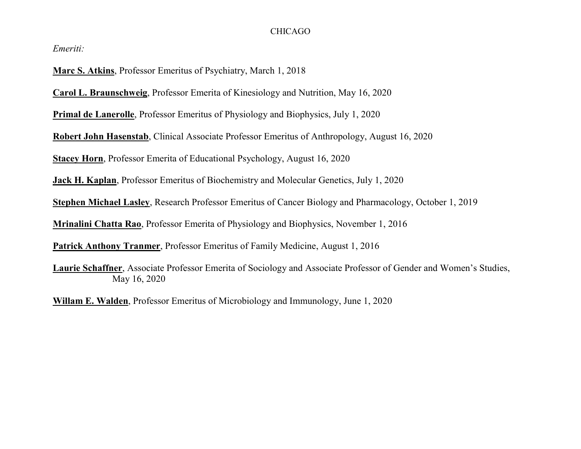#### CHICAGO

*Emeriti:*

**Marc S. Atkins**, Professor Emeritus of Psychiatry, March 1, 2018

**Carol L. Braunschweig**, Professor Emerita of Kinesiology and Nutrition, May 16, 2020

**Primal de Lanerolle**, Professor Emeritus of Physiology and Biophysics, July 1, 2020

**Robert John Hasenstab**, Clinical Associate Professor Emeritus of Anthropology, August 16, 2020

**Stacey Horn**, Professor Emerita of Educational Psychology, August 16, 2020

**Jack H. Kaplan**, Professor Emeritus of Biochemistry and Molecular Genetics, July 1, 2020

**Stephen Michael Lasley**, Research Professor Emeritus of Cancer Biology and Pharmacology, October 1, 2019

**Mrinalini Chatta Rao**, Professor Emerita of Physiology and Biophysics, November 1, 2016

**Patrick Anthony Tranmer**, Professor Emeritus of Family Medicine, August 1, 2016

**Laurie Schaffner**, Associate Professor Emerita of Sociology and Associate Professor of Gender and Women's Studies, May 16, 2020

**Willam E. Walden**, Professor Emeritus of Microbiology and Immunology, June 1, 2020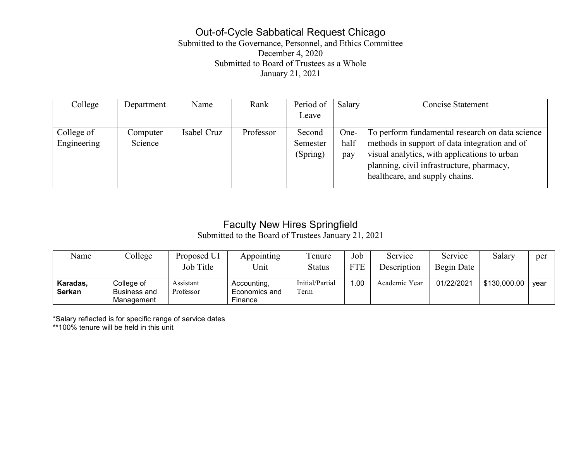## Out-of-Cycle Sabbatical Request Chicago

Submitted to the Governance, Personnel, and Ethics Committee December 4, 2020 Submitted to Board of Trustees as a Whole January 21, 2021

| Department | Name        | Rank      | Period of | Salary | <b>Concise Statement</b>                        |
|------------|-------------|-----------|-----------|--------|-------------------------------------------------|
|            |             |           | Leave     |        |                                                 |
| Computer   | Isabel Cruz | Professor | Second    | One-   | To perform fundamental research on data science |
| Science    |             |           | Semester  | half   | methods in support of data integration and of   |
|            |             |           | (Spring)  | pay    | visual analytics, with applications to urban    |
|            |             |           |           |        | planning, civil infrastructure, pharmacy,       |
|            |             |           |           |        | healthcare, and supply chains.                  |
|            |             |           |           |        |                                                 |

# Faculty New Hires Springfield

Submitted to the Board of Trustees January 21, 2021

| Name                      | College                                         | Proposed UI<br>Job Title | Appointing<br>Unit                      | l'enure<br>Status       | Job<br><b>FTE</b> | Service<br>Description | Service<br>Begin Date | Salary       | per  |
|---------------------------|-------------------------------------------------|--------------------------|-----------------------------------------|-------------------------|-------------------|------------------------|-----------------------|--------------|------|
| Karadas,<br><b>Serkan</b> | College of<br><b>Business and</b><br>Manaɑement | Assistant<br>Professor   | Accounting,<br>Economics and<br>Finance | Initial/Partial<br>Term | .00               | Academic Year          | 01/22/2021            | \$130,000.00 | vear |

\*Salary reflected is for specific range of service dates

\*\*100% tenure will be held in this unit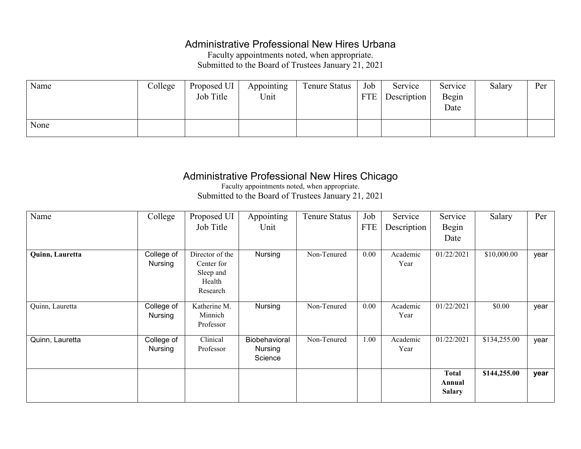## Administrative Professional New Hires Urbana

Faculty appointments noted, when appropriate. Submitted to the Board of Trustees January 21, 2021

| Name | College | Proposed UI | Appointing | <b>Tenure Status</b> | Job | Service     | Service | Salary | Per |
|------|---------|-------------|------------|----------------------|-----|-------------|---------|--------|-----|
|      |         | Job Title   | Unit       |                      | FTE | Description | Begin   |        |     |
|      |         |             |            |                      |     |             | Date    |        |     |
|      |         |             |            |                      |     |             |         |        |     |
| None |         |             |            |                      |     |             |         |        |     |

## Administrative Professional New Hires Chicago

Faculty appointments noted, when appropriate. Submitted to the Board of Trustees January 21, 2021

| Name            | College                      | Proposed UI                                                      | Appointing                                 | <b>Tenure Status</b> | Job        | Service          | Service                                 | Salary       | Per  |
|-----------------|------------------------------|------------------------------------------------------------------|--------------------------------------------|----------------------|------------|------------------|-----------------------------------------|--------------|------|
|                 |                              | Job Title                                                        | Unit                                       |                      | <b>FTE</b> | Description      | Begin                                   |              |      |
|                 |                              |                                                                  |                                            |                      |            |                  | Date                                    |              |      |
| Quinn, Lauretta | College of<br>Nursing        | Director of the<br>Center for<br>Sleep and<br>Health<br>Research | Nursing                                    | Non-Tenured          | 0.00       | Academic<br>Year | 01/22/2021                              | \$10,000.00  | year |
| Quinn, Lauretta | College of<br>Nursing        | Katherine M.<br>Minnich<br>Professor                             | Nursing                                    | Non-Tenured          | 0.00       | Academic<br>Year | 01/22/2021                              | \$0.00       | year |
| Quinn, Lauretta | College of<br><b>Nursing</b> | Clinical<br>Professor                                            | Biobehavioral<br><b>Nursing</b><br>Science | Non-Tenured          | 1.00       | Academic<br>Year | 01/22/2021                              | \$134,255.00 | year |
|                 |                              |                                                                  |                                            |                      |            |                  | <b>Total</b><br>Annual<br><b>Salary</b> | \$144,255.00 | year |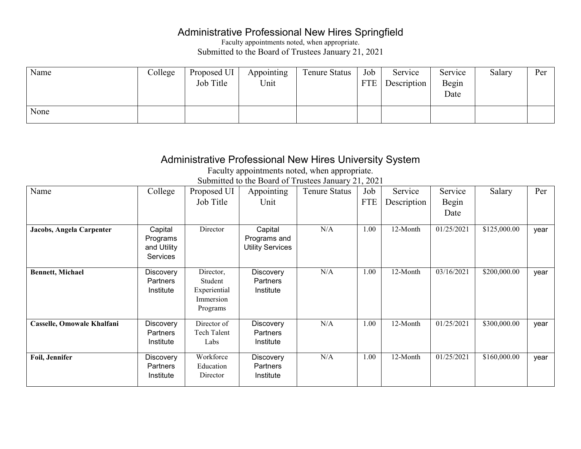## Administrative Professional New Hires Springfield

Faculty appointments noted, when appropriate. Submitted to the Board of Trustees January 21, 2021

| Name | College | Proposed UI<br>Job Title | Appointing<br>Unit | Tenure Status | Job<br><b>FTE</b> | Service<br>Description | Service<br>Begin<br>Date | Salary | Per |
|------|---------|--------------------------|--------------------|---------------|-------------------|------------------------|--------------------------|--------|-----|
| None |         |                          |                    |               |                   |                        |                          |        |     |

## Administrative Professional New Hires University System

Faculty appointments noted, when appropriate.

| Name                       | College                                               | Proposed UI<br>Job Title                                      | Appointing<br>Unit                                 | <b>Tenure Status</b> | Job<br><b>FTE</b> | Service<br>Description | Service<br>Begin<br>Date | Salary       | Per  |
|----------------------------|-------------------------------------------------------|---------------------------------------------------------------|----------------------------------------------------|----------------------|-------------------|------------------------|--------------------------|--------------|------|
| Jacobs, Angela Carpenter   | Capital<br>Programs<br>and Utility<br><b>Services</b> | Director                                                      | Capital<br>Programs and<br><b>Utility Services</b> | N/A                  | 1.00              | 12-Month               | 01/25/2021               | \$125,000.00 | year |
| <b>Bennett, Michael</b>    | <b>Discovery</b><br><b>Partners</b><br>Institute      | Director,<br>Student<br>Experiential<br>Immersion<br>Programs | <b>Discovery</b><br><b>Partners</b><br>Institute   | N/A                  | 1.00              | 12-Month               | 03/16/2021               | \$200,000.00 | year |
| Casselle, Omowale Khalfani | Discovery<br>Partners<br>Institute                    | Director of<br><b>Tech Talent</b><br>Labs                     | <b>Discovery</b><br><b>Partners</b><br>Institute   | N/A                  | 1.00              | 12-Month               | 01/25/2021               | \$300,000.00 | year |
| Foil, Jennifer             | Discovery<br><b>Partners</b><br>Institute             | Workforce<br>Education<br>Director                            | <b>Discovery</b><br><b>Partners</b><br>Institute   | N/A                  | 1.00              | 12-Month               | 01/25/2021               | \$160,000.00 | year |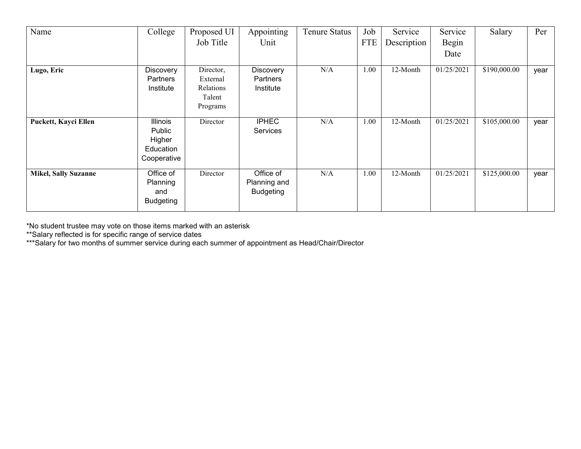| Name                        | College                                                         | Proposed UI                                              | Appointing                                    | <b>Tenure Status</b> | Job        | Service     | Service    | Salary       | Per  |
|-----------------------------|-----------------------------------------------------------------|----------------------------------------------------------|-----------------------------------------------|----------------------|------------|-------------|------------|--------------|------|
|                             |                                                                 | Job Title                                                | Unit                                          |                      | <b>FTE</b> | Description | Begin      |              |      |
|                             |                                                                 |                                                          |                                               |                      |            |             | Date       |              |      |
| Lugo, Eric                  | Discovery<br>Partners<br>Institute                              | Director,<br>External<br>Relations<br>Talent<br>Programs | Discovery<br>Partners<br>Institute            | N/A                  | 1.00       | 12-Month    | 01/25/2021 | \$190,000.00 | year |
| Puckett, Kayci Ellen        | <b>Illinois</b><br>Public<br>Higher<br>Education<br>Cooperative | Director                                                 | <b>IPHEC</b><br><b>Services</b>               | N/A                  | 1.00       | 12-Month    | 01/25/2021 | \$105,000.00 | year |
| <b>Mikel, Sally Suzanne</b> | Office of<br>Planning<br>and<br><b>Budgeting</b>                | Director                                                 | Office of<br>Planning and<br><b>Budgeting</b> | N/A                  | 1.00       | 12-Month    | 01/25/2021 | \$125,000.00 | year |

\*No student trustee may vote on those items marked with an asterisk

\*\*Salary reflected is for specific range of service dates

\*\*\*Salary for two months of summer service during each summer of appointment as Head/Chair/Director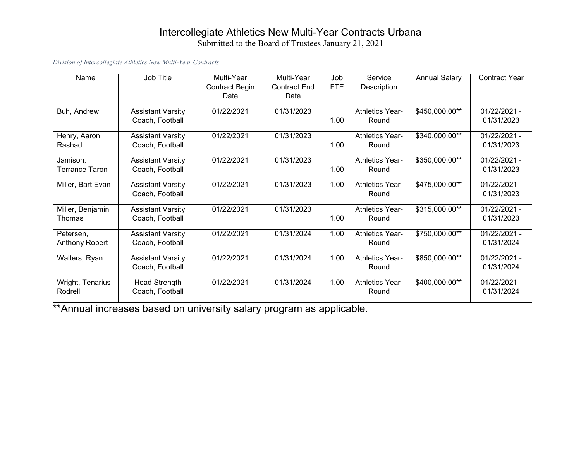# Intercollegiate Athletics New Multi-Year Contracts Urbana

Submitted to the Board of Trustees January 21, 2021

#### *Division of Intercollegiate Athletics New Multi-Year Contracts*

| Name                  | Job Title                | Multi-Year            | Multi-Year          | Job        | Service                | <b>Annual Salary</b> | <b>Contract Year</b> |
|-----------------------|--------------------------|-----------------------|---------------------|------------|------------------------|----------------------|----------------------|
|                       |                          | <b>Contract Begin</b> | <b>Contract End</b> | <b>FTE</b> | Description            |                      |                      |
|                       |                          | Date                  | Date                |            |                        |                      |                      |
| Buh, Andrew           | <b>Assistant Varsity</b> | 01/22/2021            | 01/31/2023          |            | <b>Athletics Year-</b> | \$450,000.00**       | 01/22/2021 -         |
|                       | Coach, Football          |                       |                     | 1.00       | Round                  |                      | 01/31/2023           |
| Henry, Aaron          | <b>Assistant Varsity</b> | 01/22/2021            | 01/31/2023          |            | <b>Athletics Year-</b> | \$340,000.00**       | 01/22/2021 -         |
| Rashad                | Coach, Football          |                       |                     | 1.00       | Round                  |                      | 01/31/2023           |
| Jamison,              | <b>Assistant Varsity</b> | 01/22/2021            | 01/31/2023          |            | <b>Athletics Year-</b> | \$350,000.00**       | 01/22/2021 -         |
| <b>Terrance Taron</b> | Coach, Football          |                       |                     | 1.00       | Round                  |                      | 01/31/2023           |
| Miller, Bart Evan     | <b>Assistant Varsity</b> | 01/22/2021            | 01/31/2023          | 1.00       | <b>Athletics Year-</b> | \$475,000.00**       | 01/22/2021 -         |
|                       | Coach, Football          |                       |                     |            | Round                  |                      | 01/31/2023           |
| Miller, Benjamin      | <b>Assistant Varsity</b> | 01/22/2021            | 01/31/2023          |            | <b>Athletics Year-</b> | \$315,000.00**       | 01/22/2021 -         |
| Thomas                | Coach, Football          |                       |                     | 1.00       | Round                  |                      | 01/31/2023           |
| Petersen,             | <b>Assistant Varsity</b> | 01/22/2021            | 01/31/2024          | 1.00       | <b>Athletics Year-</b> | \$750,000.00**       | 01/22/2021 -         |
| Anthony Robert        | Coach, Football          |                       |                     |            | Round                  |                      | 01/31/2024           |
| Walters, Ryan         | <b>Assistant Varsity</b> | 01/22/2021            | 01/31/2024          | 1.00       | <b>Athletics Year-</b> | \$850,000.00**       | 01/22/2021 -         |
|                       | Coach, Football          |                       |                     |            | Round                  |                      | 01/31/2024           |
| Wright, Tenarius      | <b>Head Strength</b>     | 01/22/2021            | 01/31/2024          | 1.00       | <b>Athletics Year-</b> | \$400,000.00**       | 01/22/2021 -         |
| Rodrell               | Coach, Football          |                       |                     |            | Round                  |                      | 01/31/2024           |

\*\*Annual increases based on university salary program as applicable.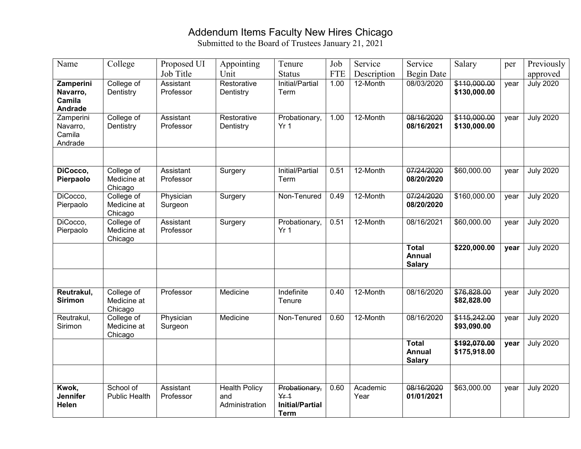#### Addendum Items Faculty New Hires Chicago

| Name                                              | College                              | Proposed UI            | Appointing                                    | Tenure                                                             | Job        | Service          | Service                                        | Salary                       | per  | Previously       |
|---------------------------------------------------|--------------------------------------|------------------------|-----------------------------------------------|--------------------------------------------------------------------|------------|------------------|------------------------------------------------|------------------------------|------|------------------|
|                                                   |                                      | Job Title              | Unit                                          | <b>Status</b>                                                      | <b>FTE</b> | Description      | Begin Date                                     |                              |      | approved         |
| Zamperini<br>Navarro,<br>Camila<br><b>Andrade</b> | College of<br>Dentistry              | Assistant<br>Professor | Restorative<br>Dentistry                      | Initial/Partial<br>Term                                            | 1.00       | 12-Month         | 08/03/2020                                     | \$110,000.00<br>\$130,000.00 | year | <b>July 2020</b> |
| Zamperini<br>Navarro,<br>Camila<br>Andrade        | College of<br>Dentistry              | Assistant<br>Professor | Restorative<br>Dentistry                      | Probationary,<br>Yr <sub>1</sub>                                   | 1.00       | 12-Month         | 08/16/2020<br>08/16/2021                       | \$110,000.00<br>\$130,000.00 | year | <b>July 2020</b> |
|                                                   |                                      |                        |                                               |                                                                    |            |                  |                                                |                              |      |                  |
| DiCocco,<br>Pierpaolo                             | College of<br>Medicine at<br>Chicago | Assistant<br>Professor | Surgery                                       | Initial/Partial<br>Term                                            | 0.51       | 12-Month         | 07/24/2020<br>08/20/2020                       | \$60,000.00                  | year | <b>July 2020</b> |
| DiCocco,<br>Pierpaolo                             | College of<br>Medicine at<br>Chicago | Physician<br>Surgeon   | Surgery                                       | Non-Tenured                                                        | 0.49       | 12-Month         | 07/24/2020<br>08/20/2020                       | \$160,000.00                 | year | <b>July 2020</b> |
| DiCocco,<br>Pierpaolo                             | College of<br>Medicine at<br>Chicago | Assistant<br>Professor | Surgery                                       | Probationary,<br>Yr <sub>1</sub>                                   | 0.51       | 12-Month         | 08/16/2021                                     | \$60,000.00                  | year | <b>July 2020</b> |
|                                                   |                                      |                        |                                               |                                                                    |            |                  | <b>Total</b><br><b>Annual</b><br><b>Salary</b> | \$220,000.00                 | year | <b>July 2020</b> |
|                                                   |                                      |                        |                                               |                                                                    |            |                  |                                                |                              |      |                  |
| Reutrakul,<br><b>Sirimon</b>                      | College of<br>Medicine at<br>Chicago | Professor              | Medicine                                      | Indefinite<br>Tenure                                               | 0.40       | 12-Month         | 08/16/2020                                     | \$76,828.00<br>\$82,828.00   | year | <b>July 2020</b> |
| Reutrakul,<br>Sirimon                             | College of<br>Medicine at<br>Chicago | Physician<br>Surgeon   | Medicine                                      | Non-Tenured                                                        | 0.60       | 12-Month         | 08/16/2020                                     | \$115,242.00<br>\$93,090.00  | year | <b>July 2020</b> |
|                                                   |                                      |                        |                                               |                                                                    |            |                  | <b>Total</b><br><b>Annual</b><br><b>Salary</b> | \$192,070.00<br>\$175,918.00 | year | <b>July 2020</b> |
|                                                   |                                      |                        |                                               |                                                                    |            |                  |                                                |                              |      |                  |
| Kwok,<br><b>Jennifer</b><br>Helen                 | School of<br><b>Public Health</b>    | Assistant<br>Professor | <b>Health Policy</b><br>and<br>Administration | Probationary,<br>$Yf + 1$<br><b>Initial/Partial</b><br><b>Term</b> | 0.60       | Academic<br>Year | 08/16/2020<br>01/01/2021                       | \$63,000.00                  | year | <b>July 2020</b> |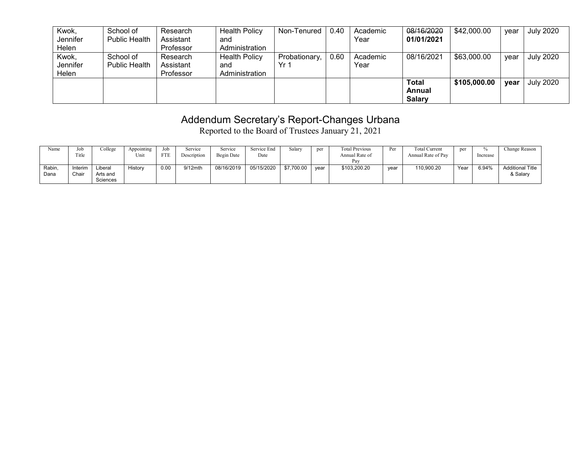| Kwok,<br>Jennifer          | School of<br><b>Public Health</b> | Research<br>Assistant              | <b>Health Policy</b><br>and                   | Non-Tenured           | 0.40 | Academic<br>Year | 08/16/2020<br>01/01/2021         | \$42,000.00  | year | <b>July 2020</b> |
|----------------------------|-----------------------------------|------------------------------------|-----------------------------------------------|-----------------------|------|------------------|----------------------------------|--------------|------|------------------|
| Helen                      |                                   | Professor                          | Administration                                |                       |      |                  |                                  |              |      |                  |
| Kwok,<br>Jennifer<br>Helen | School of<br><b>Public Health</b> | Research<br>Assistant<br>Professor | <b>Health Policy</b><br>and<br>Administration | Probationary,<br>Yr 1 | 0.60 | Academic<br>Year | 08/16/2021                       | \$63,000.00  | vear | <b>July 2020</b> |
|                            |                                   |                                    |                                               |                       |      |                  | Total<br>Annual<br><b>Salary</b> | \$105,000.00 | vear | <b>July 2020</b> |

## Addendum Secretary's Report-Changes Urbana

Reported to the Board of Trustees January 21, 2021

| Name          | Job<br>Title     | College                         | Appointing<br>Unit | Job<br><b>FTE</b> | Service<br>Description | Service<br>Begin Date | Service End<br>Date | Salary     | per  | <b>Total Previous</b><br>Annual Rate of<br>Pay | Per  | <b>Total Current</b><br>Annual Rate of Pay | per  | UZ.<br>Increase | Change Reason                       |
|---------------|------------------|---------------------------------|--------------------|-------------------|------------------------|-----------------------|---------------------|------------|------|------------------------------------------------|------|--------------------------------------------|------|-----------------|-------------------------------------|
| Rabin<br>Dana | Interim<br>Chair | Liberal<br>Arts and<br>Sciences | listory            | 0.00              | 9/12mth                | 08/16/2019            | 05/15/2020          | \$7,700.00 | vear | \$103,200.20                                   | vear | 110,900.20                                 | Year | 6.94%           | <b>Additional Title</b><br>& Salary |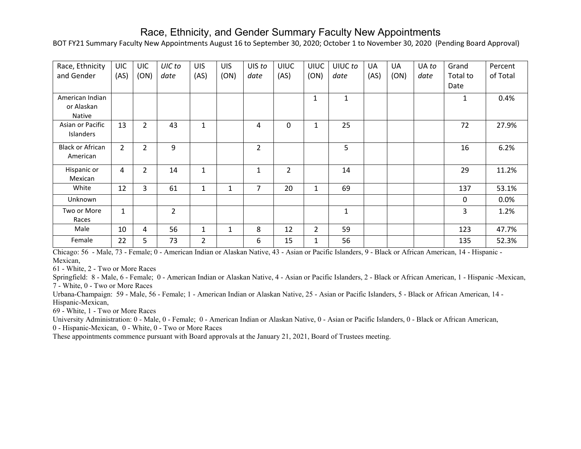#### Race, Ethnicity, and Gender Summary Faculty New Appointments

BOT FY21 Summary Faculty New Appointments August 16 to September 30, 2020; October 1 to November 30, 2020 (Pending Board Approval)

| Race, Ethnicity<br>and Gender                  | <b>UIC</b><br>(AS) | <b>UIC</b><br>(ON) | UIC to<br>date | <b>UIS</b><br>(AS) | <b>UIS</b><br>(ON) | UIS to<br>date | <b>UIUC</b><br>(AS) | <b>UIUC</b><br>(ON) | UIUC to<br>date | UA<br>(AS) | <b>UA</b><br>(ON) | UA to<br>date | Grand<br>Total to<br>Date | Percent<br>of Total |
|------------------------------------------------|--------------------|--------------------|----------------|--------------------|--------------------|----------------|---------------------|---------------------|-----------------|------------|-------------------|---------------|---------------------------|---------------------|
| American Indian<br>or Alaskan<br><b>Native</b> |                    |                    |                |                    |                    |                |                     | $\mathbf{1}$        | $\mathbf{1}$    |            |                   |               | 1                         | 0.4%                |
| Asian or Pacific<br>Islanders                  | 13                 | $\overline{2}$     | 43             | 1                  |                    | 4              | 0                   | $\mathbf{1}$        | 25              |            |                   |               | 72                        | 27.9%               |
| <b>Black or African</b><br>American            | $\overline{2}$     | $\overline{2}$     | 9              |                    |                    | $\overline{2}$ |                     |                     | 5               |            |                   |               | 16                        | 6.2%                |
| Hispanic or<br>Mexican                         | 4                  | $\overline{2}$     | 14             | $\mathbf{1}$       |                    | $\mathbf{1}$   | $\overline{2}$      |                     | 14              |            |                   |               | 29                        | 11.2%               |
| White                                          | 12                 | 3                  | 61             | $\mathbf{1}$       |                    | $\overline{7}$ | 20                  | $\mathbf{1}$        | 69              |            |                   |               | 137                       | 53.1%               |
| Unknown                                        |                    |                    |                |                    |                    |                |                     |                     |                 |            |                   |               | $\mathbf{0}$              | 0.0%                |
| Two or More<br>Races                           | $\mathbf{1}$       |                    | $\overline{2}$ |                    |                    |                |                     |                     | $\mathbf{1}$    |            |                   |               | 3                         | 1.2%                |
| Male                                           | 10                 | 4                  | 56             | 1                  |                    | 8              | 12                  | $\overline{2}$      | 59              |            |                   |               | 123                       | 47.7%               |
| Female                                         | 22                 | 5                  | 73             | $\overline{2}$     |                    | 6              | 15                  | $\mathbf{1}$        | 56              |            |                   |               | 135                       | 52.3%               |

Chicago: 56 - Male, 73 - Female; 0 - American Indian or Alaskan Native, 43 - Asian or Pacific Islanders, 9 - Black or African American, 14 - Hispanic - Mexican,

61 - White, 2 - Two or More Races

Springfield: 8 - Male, 6 - Female; 0 - American Indian or Alaskan Native, 4 - Asian or Pacific Islanders, 2 - Black or African American, 1 - Hispanic -Mexican, 7 - White, 0 - Two or More Races

Urbana-Champaign: 59 - Male, 56 - Female; 1 - American Indian or Alaskan Native, 25 - Asian or Pacific Islanders, 5 - Black or African American, 14 - Hispanic-Mexican,

69 - White, 1 - Two or More Races

University Administration: 0 - Male, 0 - Female; 0 - American Indian or Alaskan Native, 0 - Asian or Pacific Islanders, 0 - Black or African American,

0 - Hispanic-Mexican, 0 - White, 0 - Two or More Races

These appointments commence pursuant with Board approvals at the January 21, 2021, Board of Trustees meeting.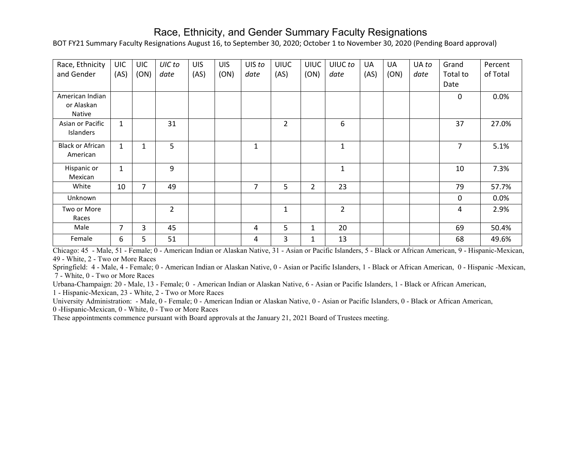#### Race, Ethnicity, and Gender Summary Faculty Resignations

BOT FY21 Summary Faculty Resignations August 16, to September 30, 2020; October 1 to November 30, 2020 (Pending Board approval)

| Race, Ethnicity         | <b>UIC</b>     | <b>UIC</b>   | UIC to        | <b>UIS</b> | <b>UIS</b> | UIS to | <b>UIUC</b>    | <b>UIUC</b> | UIUC to        | <b>UA</b> | <b>UA</b> | UA to | Grand          | Percent  |
|-------------------------|----------------|--------------|---------------|------------|------------|--------|----------------|-------------|----------------|-----------|-----------|-------|----------------|----------|
| and Gender              | (AS)           | (ON)         | date          | (AS)       | (ON)       | date   | (AS)           | (ON)        | date           | (AS)      | (ON)      | date  | Total to       | of Total |
|                         |                |              |               |            |            |        |                |             |                |           |           |       | Date           |          |
| American Indian         |                |              |               |            |            |        |                |             |                |           |           |       | $\mathbf 0$    | 0.0%     |
| or Alaskan              |                |              |               |            |            |        |                |             |                |           |           |       |                |          |
| Native                  |                |              |               |            |            |        |                |             |                |           |           |       |                |          |
| Asian or Pacific        | $\mathbf{1}$   |              | 31            |            |            |        | $\overline{2}$ |             | 6              |           |           |       | 37             | 27.0%    |
| Islanders               |                |              |               |            |            |        |                |             |                |           |           |       |                |          |
| <b>Black or African</b> | $\mathbf{1}$   | $\mathbf{1}$ | 5             |            |            | 1      |                |             | $\mathbf{1}$   |           |           |       | $\overline{7}$ | 5.1%     |
| American                |                |              |               |            |            |        |                |             |                |           |           |       |                |          |
| Hispanic or             | $\mathbf{1}$   |              | 9             |            |            |        |                |             | $\mathbf{1}$   |           |           |       | 10             | 7.3%     |
| Mexican                 |                |              |               |            |            |        |                |             |                |           |           |       |                |          |
| White                   | 10             | 7            | 49            |            |            | 7      | 5              | 2           | 23             |           |           |       | 79             | 57.7%    |
| Unknown                 |                |              |               |            |            |        |                |             |                |           |           |       | $\mathbf 0$    | 0.0%     |
| Two or More             |                |              | $\mathcal{L}$ |            |            |        | $\mathbf{1}$   |             | $\overline{2}$ |           |           |       | 4              | 2.9%     |
| Races                   |                |              |               |            |            |        |                |             |                |           |           |       |                |          |
| Male                    | $\overline{7}$ | 3            | 45            |            |            | 4      | 5              | 1           | 20             |           |           |       | 69             | 50.4%    |
| Female                  | 6              | 5            | 51            |            |            | 4      | 3              | 1           | 13             |           |           |       | 68             | 49.6%    |

Chicago: 45 - Male, 51 - Female; 0 - American Indian or Alaskan Native, 31 - Asian or Pacific Islanders, 5 - Black or African American, 9 - Hispanic-Mexican, 49 - White, 2 - Two or More Races

Springfield: 4 - Male, 4 - Female; 0 - American Indian or Alaskan Native, 0 - Asian or Pacific Islanders, 1 - Black or African American, 0 - Hispanic -Mexican, 7 - White, 0 - Two or More Races

Urbana-Champaign: 20 - Male, 13 - Female; 0 - American Indian or Alaskan Native, 6 - Asian or Pacific Islanders, 1 - Black or African American,

1 - Hispanic-Mexican, 23 - White, 2 - Two or More Races

University Administration: - Male, 0 - Female; 0 - American Indian or Alaskan Native, 0 - Asian or Pacific Islanders, 0 - Black or African American,

0 -Hispanic-Mexican, 0 - White, 0 - Two or More Races

These appointments commence pursuant with Board approvals at the January 21, 2021 Board of Trustees meeting.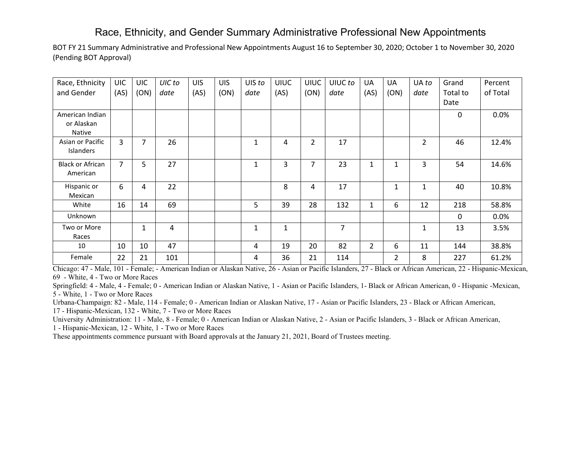#### Race, Ethnicity, and Gender Summary Administrative Professional New Appointments

BOT FY 21 Summary Administrative and Professional New Appointments August 16 to September 30, 2020; October 1 to November 30, 2020 (Pending BOT Approval)

| Race, Ethnicity         | <b>UIC</b>     | <b>UIC</b> | UIC to | <b>UIS</b> | <b>UIS</b> | UIS to       | <b>UIUC</b> | <b>UIUC</b>    | UIUC to | UA             | UA   | UA to          | Grand        | Percent  |
|-------------------------|----------------|------------|--------|------------|------------|--------------|-------------|----------------|---------|----------------|------|----------------|--------------|----------|
| and Gender              | (AS)           | (ON)       | date   | (AS)       | (ON)       | date         | (AS)        | (ON)           | date    | (AS)           | (ON) | date           | Total to     | of Total |
|                         |                |            |        |            |            |              |             |                |         |                |      |                | Date         |          |
| American Indian         |                |            |        |            |            |              |             |                |         |                |      |                | 0            | 0.0%     |
| or Alaskan              |                |            |        |            |            |              |             |                |         |                |      |                |              |          |
| Native                  |                |            |        |            |            |              |             |                |         |                |      |                |              |          |
| Asian or Pacific        | 3              | 7          | 26     |            |            | $\mathbf{1}$ | 4           | $\overline{2}$ | 17      |                |      | $\overline{2}$ | 46           | 12.4%    |
| Islanders               |                |            |        |            |            |              |             |                |         |                |      |                |              |          |
| <b>Black or African</b> | $\overline{7}$ | 5          | 27     |            |            | $\mathbf{1}$ | 3           | $\overline{7}$ | 23      | $\mathbf{1}$   | 1    | 3              | 54           | 14.6%    |
| American                |                |            |        |            |            |              |             |                |         |                |      |                |              |          |
| Hispanic or             | 6              | 4          | 22     |            |            |              | 8           | 4              | 17      |                | 1    | 1              | 40           | 10.8%    |
| Mexican                 |                |            |        |            |            |              |             |                |         |                |      |                |              |          |
| White                   | 16             | 14         | 69     |            |            | 5            | 39          | 28             | 132     | $\mathbf{1}$   | 6    | 12             | 218          | 58.8%    |
| Unknown                 |                |            |        |            |            |              |             |                |         |                |      |                | $\mathbf{0}$ | 0.0%     |
| Two or More             |                | 1          | 4      |            |            | $\mathbf{1}$ | 1           |                | 7       |                |      | 1              | 13           | 3.5%     |
| Races                   |                |            |        |            |            |              |             |                |         |                |      |                |              |          |
| 10                      | 10             | 10         | 47     |            |            | 4            | 19          | 20             | 82      | $\overline{2}$ | 6    | 11             | 144          | 38.8%    |
| Female                  | 22             | 21         | 101    |            |            | 4            | 36          | 21             | 114     |                | 2    | 8              | 227          | 61.2%    |

Chicago: 47 - Male, 101 - Female; - American Indian or Alaskan Native, 26 - Asian or Pacific Islanders, 27 - Black or African American, 22 - Hispanic-Mexican, 69 - White, 4 - Two or More Races

Springfield: 4 - Male, 4 - Female; 0 - American Indian or Alaskan Native, 1 - Asian or Pacific Islanders, 1- Black or African American, 0 - Hispanic -Mexican, 5 - White, 1 - Two or More Races

Urbana-Champaign: 82 - Male, 114 - Female; 0 - American Indian or Alaskan Native, 17 - Asian or Pacific Islanders, 23 - Black or African American,

17 - Hispanic-Mexican, 132 - White, 7 - Two or More Races

University Administration: 11 - Male, 8 - Female; 0 - American Indian or Alaskan Native, 2 - Asian or Pacific Islanders, 3 - Black or African American,

1 - Hispanic-Mexican, 12 - White, 1 - Two or More Races

These appointments commence pursuant with Board approvals at the January 21, 2021, Board of Trustees meeting.